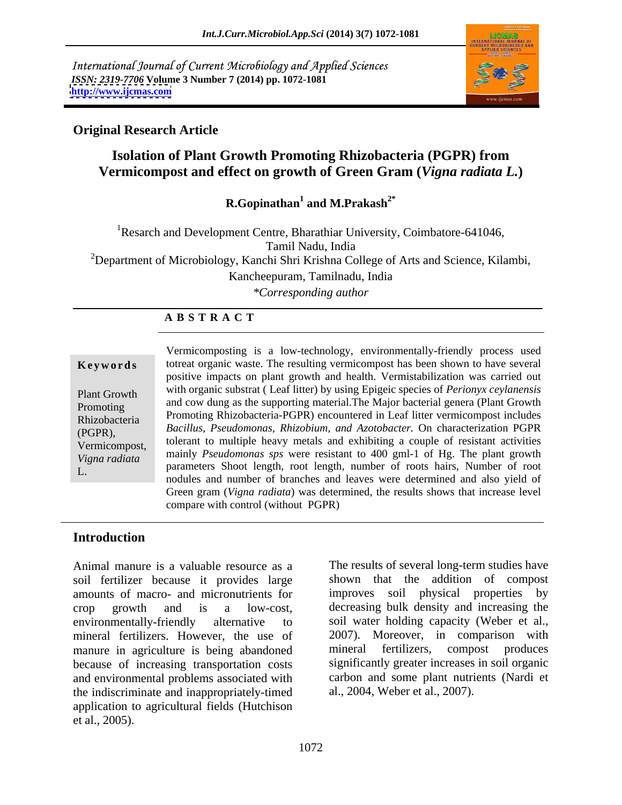International Journal of Current Microbiology and Applied Sciences *ISSN: 2319-7706* **Volume 3 Number 7 (2014) pp. 1072-1081 <http://www.ijcmas.com>**



### **Original Research Article**

### **Isolation of Plant Growth Promoting Rhizobacteria (PGPR) from Vermicompost and effect on growth of Green Gram (***Vigna radiata L.***)**

**R.Gopinathan<sup>1</sup> and M.Prakash<sup>2\*</sup> and M.Prakash2\***

<sup>1</sup>Resarch and Development Centre, Bharathiar University, Coimbatore-641046, Tamil Nadu, India <sup>2</sup>Department of Microbiology, Kanchi Shri Krishna College of Arts and Science, Kilambi, Kancheepuram, Tamilnadu, India *\*Corresponding author*

### **A B S T R A C T**

**Keywords** totreat organic waste. The resulting vermicompost has been shown to have several Plant Growth with organic substrat (Lear fitter) by using Epigeic species of *Ferionyx ceytanensis*<br>Promoting and cow dung as the supporting material. The Major bacterial genera (Plant Growth Promoting<br>
Phizobacteria Promoting Rhizobacteria-PGPR) encountered in Leaf litter vermicompost includes Rhizobacteria runnoung Nilzovaciena-FOFN) encountered in Lear interventincompositionales (PGPR), *Bacillus, Pseudomonas, Rhizobium, and Azotobacter.* On characterization PGPR Vermicompost, tolerant to multiple heavy metals and exhibiting a couple of resistant activities  $V$ *Vigna radiata* in the *Predite manner* of *Shoot length*, root length, number of roots hairs, Number of root parameters Shoot length, root length, number of roots hairs, Number of root L. The parameters shoot length, foot length, humber of foots hans, Number of foot handles and number of branches and leaves were determined and also yield of Vermicomposting is a low-technology, environmentally-friendly process used positive impacts on plant growth and health. Vermistabilization was carried out with organic substrat ( Leaf litter) by using Epigeic species of *Perionyx ceylanensis*  mainly *Pseudomonas sps* were resistant to 400 gml-1 of Hg. The plant growth Green gram (*Vigna radiata*) was determined, the results shows that increase level compare with control (without PGPR)

### **Introduction**

Animal manure is a valuable resource as a The results of several long-term studies have soil fertilizer because it provides large amounts of macro- and micronutrients for crop growth and is a low-cost, decreasing bulk density and increasing the environmentally-friendly alternative to soil water holding capacity (Weber et al., mineral fertilizers. However, the use of 2007). Moreover, in compar<br>manure in agriculture is being abandoned mineral fertilizers, compost manure in agriculture is being abandoned mineral fertilizers, compost produces because of increasing transportation costs and environmental problems associated with the indiscriminate and inappropriately-timed application to agricultural fields (Hutchison et al., 2005).

shown that the addition of compost improves soil physical properties by 2007). Moreover, in comparison with mineral fertilizers, compost produces significantly greater increases in soil organic carbon and some plant nutrients (Nardi et al., 2004, Weber et al., 2007).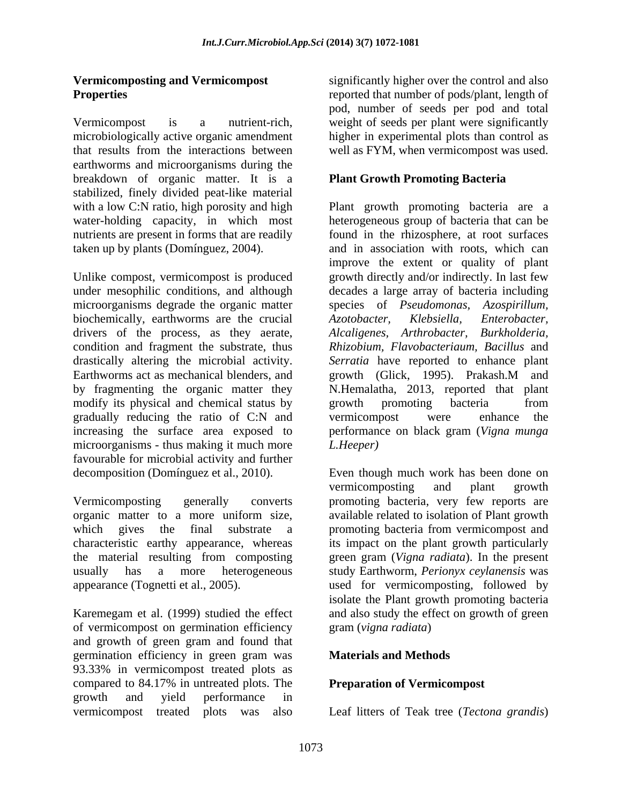Vermicompost is a nutrient-rich, weight of seeds per plant were significantly microbiologically active organic amendment that results from the interactions between well as FYM, when vermicompost was used. earthworms and microorganisms during the breakdown of organic matter. It is a stabilized, finely divided peat-like material

Unlike compost, vermicompost is produced growth directly and/or indirectly. In last few under mesophilic conditions, and although decades a large array of bacteria including microorganisms degrade the organic matter species of *Pseudomonas*, *Azospirillum*, biochemically, earthworms are the crucial *Azotobacter*, *Klebsiella, Enterobacter*, drivers of the process, as they aerate, condition and fragment the substrate, thus drastically altering the microbial activity. *Serratia* have reported to enhance plant Earthworms act as mechanical blenders, and growth (Glick, 1995). Prakash.M and by fragmenting the organic matter they modify its physical and chemical status by growth promoting bacteria from gradually reducing the ratio of C:N and increasing the surface area exposed to performance on black gram (*Vigna munga* microorganisms - thus making it much more L. Heeper) favourable for microbial activity and further

of vermicompost on germination efficiency and growth of green gram and found that germination efficiency in green gram was 93.33% in vermicompost treated plots as compared to 84.17% in untreated plots. The growth and yield performance in

**Vermicomposting and Vermicompost** significantly higher over the control and also **Properties reported that number of pods/plant, length of** pod, number of seeds per pod and total higher in experimental plots than control as

### **Plant Growth Promoting Bacteria**

with a low C:N ratio, high porosity and high Plant growth promoting bacteria are a water-holding capacity, in which most heterogeneous group of bacteria that can be nutrients are present in forms that are readily found in the rhizosphere, at root surfaces taken up by plants (Domínguez, 2004). and in association with roots, which can improve the extent or quality of plant species of *Pseudomonas*, *Azotobacter, Klebsiella, Enterobacter, Alcaligenes, Arthrobacter, Burkholderia, Rhizobium, Flavobacteriaum, Bacillus* and growth (Glick, 1995). Prakash.M and N.Hemalatha, 2013, reported that plant growth promoting bacteria from vermicompost were enhance the *L.Heeper)*

decomposition (Domínguez et al., 2010). Even though much work has been done on Vermicomposting generally converts promoting bacteria, very few reports are organic matter to a more uniform size, available related to isolation of Plant growth which gives the final substrate a promoting bacteria from vermicompost and characteristic earthy appearance, whereas its impact on the plant growth particularly the material resulting from composting green gram (*Vigna radiata*). In the present usually has a more heterogeneous study Earthworm, *Perionyx ceylanensis* was appearance (Tognetti et al., 2005). used for vermicomposting, followed by Karemegam et al. (1999) studied the effect and also study the effect on growth of green vermicomposting and plant growth isolate the Plant growth promoting bacteria gram (*vigna radiata*)

### **Materials and Methods**

### **Preparation of Vermicompost**

vermicompost treated plots was also Leaf litters of Teak tree (*Tectona grandis*)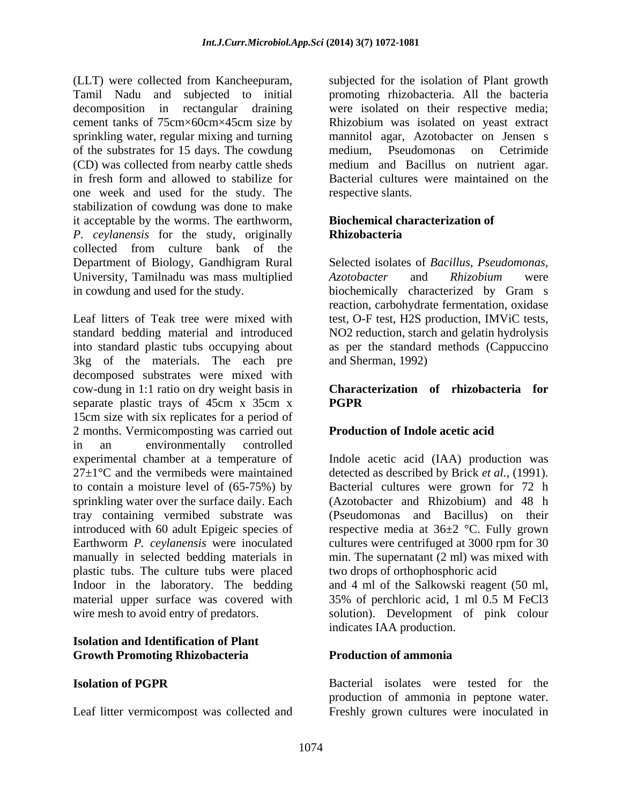(LLT) were collected from Kancheepuram, subjected for the isolation of Plant growth Tamil Nadu and subjected to initial promoting rhizobacteria. All the bacteria decomposition in rectangular draining were isolated on their respective media; cement tanks of 75cm×60cm×45cm size by Rhizobium was isolated on yeast extract sprinkling water, regular mixing and turning mannitol agar, Azotobacter on Jensen s of the substrates for 15 days. The cowdung (CD) was collected from nearby cattle sheds in fresh form and allowed to stabilize for Bacterial cultures were maintained on the one week and used for the study. The stabilization of cowdung was done to make it acceptable by the worms. The earthworm, *P. ceylanensis* for the study, originally collected from culture bank of the Department of Biology, Gandhigram Rural University, Tamilnadu was mass multiplied  $Azotobacter$  and  $Rhizobium$  were

Leaf litters of Teak tree were mixed with test, O-F test, H2S production, IMViC tests, standard bedding material and introduced NO2 reduction, starch and gelatin hydrolysis into standard plastic tubs occupying about as per the standard methods (Cappuccino 3kg of the materials. The each pre decomposed substrates were mixed with cow-dung in 1:1 ratio on dry weight basis in separate plastic trays of 45cm x 35cm x PGPR 15cm size with six replicates for a period of 2 months. Vermicomposting was carried out in an environmentally controlled experimental chamber at a temperature of Indole acetic acid (IAA) production was 27±1°C and the vermibeds were maintained detected as described by Brick *et al.,* (1991). to contain a moisture level of (65-75%) by Bacterial cultures were grown for 72 h sprinkling water over the surface daily. Each tray containing vermibed substrate was introduced with 60 adult Epigeic species of respective media at 36±2 °C. Fully grown Earthworm *P. ceylanensis* were inoculated cultures were centrifuged at 3000 rpm for 30 manually in selected bedding materials in min. The supernatant (2 ml) was mixed with plastic tubs. The culture tubs were placed Indoor in the laboratory. The bedding and 4 ml of the Salkowski reagent (50 ml, material upper surface was covered with 35% of perchloric acid, 1 ml 0.5 M FeCl3 wire mesh to avoid entry of predators. solution). Development of pink colour

### **Isolation and Identification of Plant Growth Promoting Rhizobacteria**

medium, Pseudomonas on Cetrimide medium and Bacillus on nutrient agar. respective slants.

### **Biochemical characterization of Rhizobacteria**

in cowdung and used for the study. biochemically characterized by Gram s Selected isolates of *Bacillus, Pseudomonas, Azotobacter* and *Rhizobium* were reaction, carbohydrate fermentation, oxidase and Sherman, 1992)

### **Characterization of rhizobacteria for PGPR**

### **Production of Indole acetic acid**

(Azotobacter and Rhizobium) and 48 h (Pseudomonas and Bacillus) on their two drops of orthophosphoric acid 35% of perchloric acid, 1 ml 0.5 M FeCl3 indicates IAA production.

### **Production of ammonia**

**Isolation of PGPR** Bacterial isolates were tested for the Leaf litter vermicompost was collected and Freshly grown cultures were inoculated inproduction of ammonia in peptone water.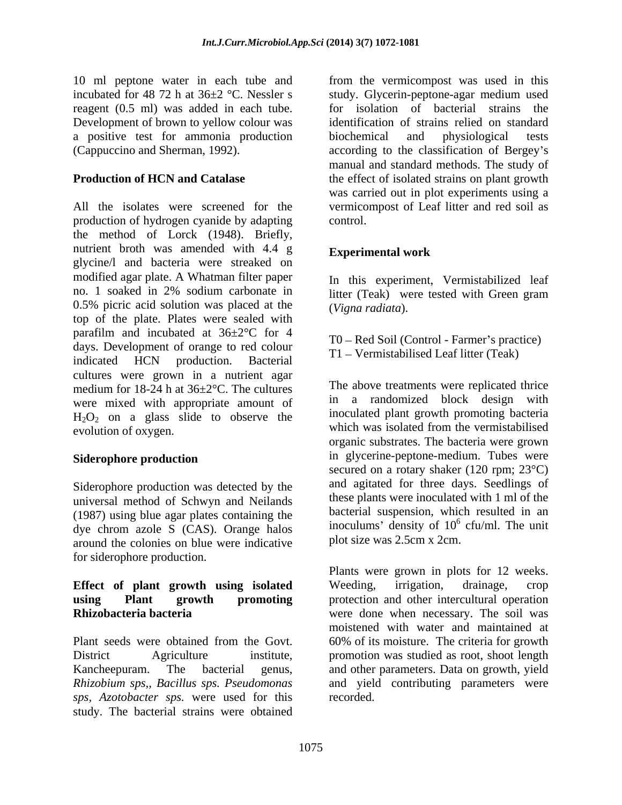reagent (0.5 ml) was added in each tube. Development of brown to yellow colour was a positive test for ammonia production biochemical and physiological tests

All the isolates were screened for the vermicompost of Leaf litter and red soil as production of hydrogen cyanide by adapting the method of Lorck (1948). Briefly, nutrient broth was amended with 4.4 g Experimental work glycine/l and bacteria were streaked on modified agar plate. A Whatman filter paper no. 1 soaked in 2% sodium carbonate in 0.5% picric acid solution was placed at the top of the plate. Plates were sealed with parafilm and incubated at 36±2°C for 4 days. Development of orange to red colour indicated HCN production. Bacterial cultures were grown in a nutrient agar medium for 18-24 h at 36±2°C. The cultures were mixed with appropriate amount of  $H_2O_2$  on a glass slide to observe the evolution of oxygen. which was isolated from the vermistabilised

Siderophore production was detected by the universal method of Schwyn and Neilands (1987) using blue agar plates containing the dye chrom azole S (CAS). Orange halos around the colonies on blue were indicative for siderophore production.

# **Effect of plant growth using isolated**

*Rhizobium sps,, Bacillus sps. Pseudomonas sps, Azotobacter sps.* were used for this study. The bacterial strains were obtained

10 ml peptone water in each tube and from the vermicompost was used in this incubated for 48 72 h at 36±2 °C. Nessler s study. Glycerin-peptone-agar medium used (Cappuccino and Sherman, 1992). according to the classification of Bergey s **Production of HCN and Catalase** the effect of isolated strains on plant growth for isolation of bacterial strains the identification of strains relied on standard biochemical and physiological tests manual and standard methods. The study of was carried out in plot experiments using a control.

### **Experimental work**

In this experiment, Vermistabilized leaf litter (Teak) were tested with Green gram (*Vigna radiata*).

T0 – Red Soil (Control - Farmer's practice) T1 – Vermistabilised Leaf litter (Teak)

Siderophore production **in** glycerine-peptone-medium. Tubes were The above treatments were replicated thrice in a randomized block design with inoculated plant growth promoting bacteria organic substrates. The bacteria were grown secured on a rotary shaker (120 rpm; 23°C) and agitated for three days. Seedlings of these plants were inoculated with 1 ml of the bacterial suspension, which resulted in an inoculums' density of  $10^6$  cfu/ml. The unit  $^6$  of  $\mu$  The unit cfu/ml. The unit plot size was 2.5cm x 2cm.

**using Plant growth promoting** protection and other intercultural operation **Rhizobacteria bacteria** were done when necessary. The soil was Plant seeds were obtained from the Govt. 60% of its moisture. The criteria for growth District Agriculture institute, promotion was studied as root, shoot length Kancheepuram. The bacterial genus, and other parameters. Data on growth, yield Plants were grown in plots for 12 weeks. Weeding, irrigation, drainage, crop moistened with water and maintained at and yield contributing parameters were recorded.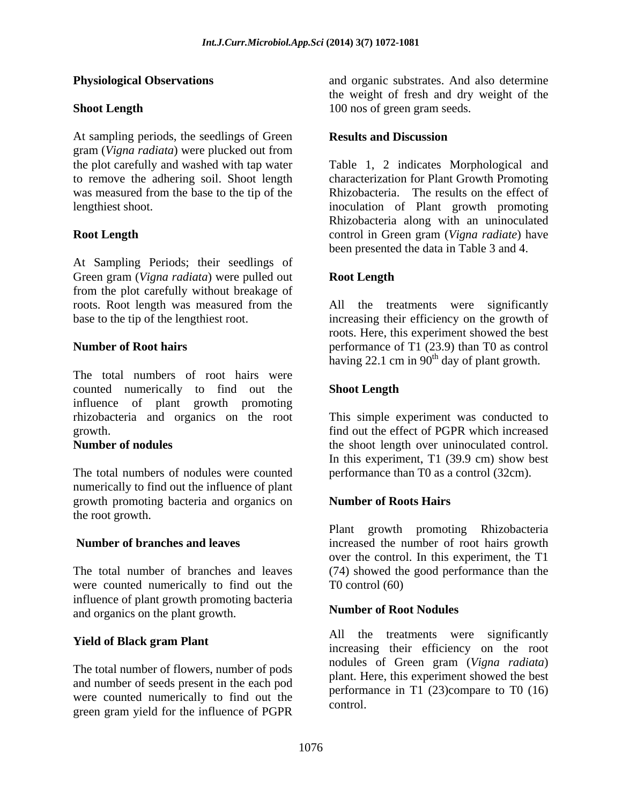At sampling periods, the seedlings of Green Results and Discussion gram (*Vigna radiata*) were plucked out from was measured from the base to the tip of the

At Sampling Periods; their seedlings of Green gram (*Vigna radiata*) were pulled out from the plot carefully without breakage of roots. Root length was measured from the All the treatments were significantly

The total numbers of root hairs were counted numerically to find out the influence of plant growth promoting rhizobacteria and organics on the root growth. find out the effect of PGPR which increased

The total numbers of nodules were counted performance than T0 as a control (32cm). numerically to find out the influence of plant growth promoting bacteria and organics on the root growth.

were counted numerically to find out the T0 control (60) influence of plant growth promoting bacteria and organics on the plant growth.

The total number of flowers, number of pods and number of seeds present in the each pod were counted numerically to find out the green gram yield for the influence of PGPR

**Physiological Observations** and organic substrates. And also determine **Shoot Length** 200 nos of green gram seeds. the weight of fresh and dry weight of the 100 nos of green gram seeds.

### **Results and Discussion**

the plot carefully and washed with tap water Table 1, 2 indicates Morphological and to remove the adhering soil. Shoot length characterization for Plant Growth Promoting lengthiest shoot. inoculation of Plant growth promoting **Root Length** control in Green gram (*Vigna radiate*) have Rhizobacteria. The results on the effect of Rhizobacteria along with an uninoculated been presented the data in Table 3 and 4.

### **Root Length**

base to the tip of the lengthiest root. increasing their efficiency on thegrowth of **Number of Root hairs** performance of T1 (23.9) than T0 as control All the treatments were roots. Here, this experiment showed the best having 22.1 cm in  $90<sup>th</sup>$  day of plant growth.

### **Shoot Length**

**Number of nodules** the shoot length over uninoculated control. This simple experiment was conducted to In this experiment, T1 (39.9 cm) show best

### **Number of Roots Hairs**

**Number of branches and leaves** increased the number of root hairs growth The total number of branches and leaves (74) showed the good performance than the Plant growth promoting Rhizobacteria over the control. In this experiment, the T1 T0 control (60)

### **Number of Root Nodules**

**Yield of Black gram Plant Solution** All the treatments were significantly All the treatments were increasing their efficiency on the root nodules of Green gram (*Vigna radiata*) plant. Here, this experiment showed the best performance in T1 (23)compare to T0 (16) control.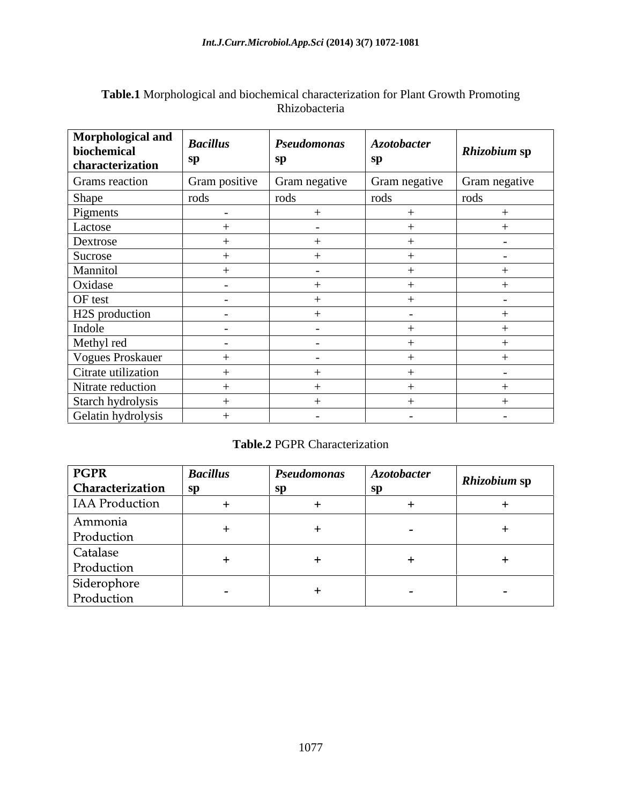| Morphological and<br>biochemical<br>characterization | <b>Bacillus</b><br>sp | <b>Pseudomonas</b><br>sn | <b>Azotobacter</b> | Rhizobium sp             |
|------------------------------------------------------|-----------------------|--------------------------|--------------------|--------------------------|
| Grams reaction                                       | Gram positive         | Gram negative            | Gram negative      | Gram negative            |
| Shape                                                | rods                  | rods                     | rods               | rods                     |
| Pigments                                             | $\sim$                |                          |                    |                          |
| Lactose                                              |                       | $\sim$                   |                    |                          |
| Dextrose                                             |                       |                          |                    | $\overline{\phantom{0}}$ |
| Sucrose                                              |                       |                          |                    | $\sim$                   |
| Mannitol                                             |                       | $\sim$                   |                    |                          |
| Oxidase                                              | $\sim$                |                          |                    |                          |
| OF test                                              | $\sim$                |                          |                    | $\overline{\phantom{0}}$ |
| H2S production                                       | $\sim$                |                          | $\sim$ $\sim$      |                          |
| Indole                                               | $\sim$                | $\sim$                   |                    |                          |
| Methyl red                                           | $\sim$                | $\sim$                   |                    |                          |
| Vogues Proskauer                                     | $+$                   | $\sim$                   |                    | $^+$                     |
| Citrate utilization                                  |                       |                          |                    | $\overline{\phantom{0}}$ |
| Nitrate reduction                                    |                       |                          |                    |                          |
| Starch hydrolysis                                    |                       |                          |                    |                          |
| Gelatin hydrolysis                                   |                       | $\sim$                   | $\sim$ $-$         | $\sim$                   |

### **Table.1** Morphological and biochemical characterization for Plant Growth Promoting Rhizobacteria

### **Table.2** PGPR Characterization

| PGPR                      | <b>Bacillus</b>          | <i>Pseudomonas</i> | <b>Azotobacter</b>       | <b>Rhizobium sp</b>      |
|---------------------------|--------------------------|--------------------|--------------------------|--------------------------|
| Characterization          | - SD                     |                    |                          |                          |
| <b>IAA</b> Production     |                          |                    |                          |                          |
| Ammonia<br>Production     |                          |                    | $\overline{\phantom{0}}$ |                          |
| Catalase<br>Production    |                          |                    |                          |                          |
| Siderophore<br>Production | $\overline{\phantom{0}}$ |                    | $\sim$                   | $\overline{\phantom{0}}$ |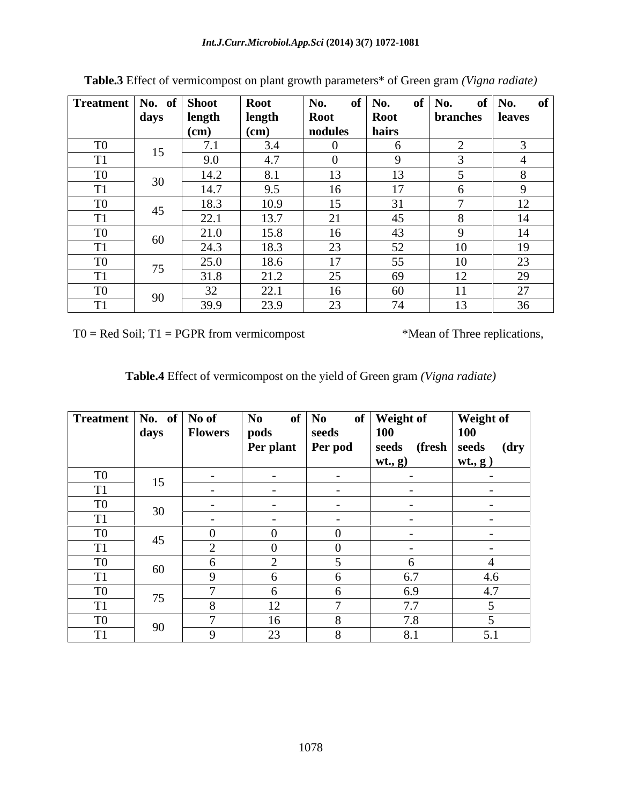| Treatment   No. of   Shoot |      |                            | <b>Root</b> | No.         | of $\vert$ No. | of   No.          | of   No. $\quad$ of |
|----------------------------|------|----------------------------|-------------|-------------|----------------|-------------------|---------------------|
|                            | days | length                     | length      | <b>Root</b> | <b>Root</b>    | branches   leaves |                     |
|                            |      | (cm)                       | (cm)        | nodules     | hairs          |                   |                     |
| T <sub>0</sub>             | 15   | $\sqrt{7}$ 1<br>$\sqrt{1}$ | 3.4         | - ( )       |                |                   |                     |
| TT1                        |      | 9.0                        | 4.7         | -0          |                |                   |                     |
| T0                         | 30   | 14.2                       | 8.1         | 13          | 13             |                   |                     |
| m <sub>2</sub>             |      | 14.7                       | 9.5         | 16          | 17             |                   |                     |
| T <sub>0</sub>             | 45   | 18.3                       | 10.9        | 15          | 31             |                   | 12                  |
| TT1                        |      | 22.1                       | 13.7        | 21          | 45             |                   | 14                  |
| T0                         | 60   | 21.0                       | 15.8        | 16          | 43             |                   | 14                  |
| T <sub>1</sub>             |      | 24.3                       | 18.3        | 23          | 52             | 10                | 19                  |
| T0                         |      | 25.0                       | 18.6        | 17          | 55             | 10                | 23                  |
| $T = 4$                    | 75   | 31.8                       | 21.2        | 25          | 69             | 12                | 29                  |
| T <sub>0</sub>             |      | 32                         | 22.1        | 16          | 60             |                   | 27                  |
|                            | 90   | 39.9                       | 23.9        | 23          | 74             | 13                | 36                  |

**Table.3** Effect of vermicompost on plant growth parameters\* of Green gram *(Vigna radiate)*

 $T0 = Red Soil; T1 = PGPR from vermicompost$  \*Mean of Three replications,

| Table.4<br>le.4 Effect of vermicompost on the yield of Group<br>Green gram <i>(Vigna radiate)</i> |  |
|---------------------------------------------------------------------------------------------------|--|
|---------------------------------------------------------------------------------------------------|--|

| $\vert$ Treatment $\vert$ No. of $\vert$ No of |                              |                | No                        | of $\vert$ No | of   Weight of           | <b>Weight of</b> |
|------------------------------------------------|------------------------------|----------------|---------------------------|---------------|--------------------------|------------------|
|                                                | $\vert$ days $\vert$ $\vert$ | <b>Flowers</b> | pods                      | seeds         | <b>100</b>               | <b>100</b>       |
|                                                |                              |                | <b>Per plant</b> Per pod  |               | seeds (fresh seeds (dry  |                  |
|                                                |                              |                |                           |               | wt., g)                  | wt, g)           |
| T <sub>0</sub>                                 | 15                           | $\sim$         | $\sim$                    | $ -$          | $\sim$ $\sim$            | $\sim$ $-$       |
| T1                                             |                              | $\sim$         | $\sim$                    | $\sim$        | $\sim$ $\sim$            | $\sim$           |
| T <sub>0</sub>                                 | 30                           | $\sim$ $\sim$  | $\sim$ $-$                | $ -$          | $\sim$ $\sim$            | $\sim$           |
| T <sub>1</sub>                                 |                              | $\sim$ $\sim$  | $\sim$ $\sim$             | $\sim$        | $\sim$ $\sim$            | $\sim$ $-$       |
| T <sub>0</sub>                                 |                              |                |                           |               | $\overline{\phantom{0}}$ | $\sim$           |
| T <sub>1</sub>                                 | 45                           |                |                           |               | $-$                      | $\sim$           |
| $\underline{\text{TO}}$                        |                              | n              |                           |               | h.                       |                  |
| T <sub>1</sub>                                 | 60                           |                |                           |               | 6.7                      | 4.6              |
| T <sub>0</sub>                                 |                              |                |                           |               | 6.9                      | 4.7              |
| TT1<br>$\perp$                                 | 75                           |                | 1 <sub>0</sub><br>$\perp$ |               | 7.7                      |                  |
| T <sub>0</sub>                                 |                              |                | 16                        |               | 7.8                      |                  |
| T <sub>1</sub>                                 | 90                           |                | 23                        |               | 8.1                      | 5.1              |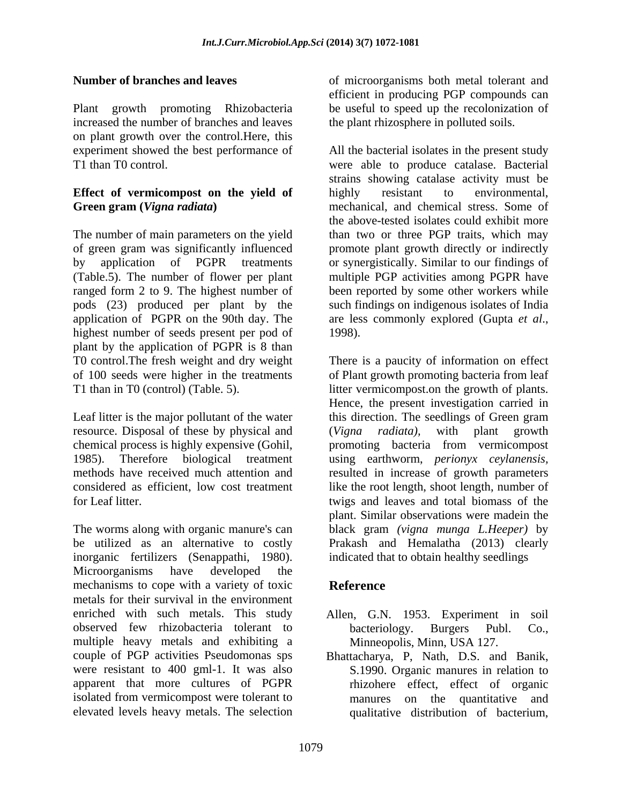Plant growth promoting Rhizobacteria be useful to speed up the recolonization of increased the number of branches and leaves on plant growth over the control.Here, this

## **Effect of vermicompost on the yield of**

(Table.5). The number of flower per plant application of PGPR on the 90th day. The are less commonly explored (Gupta et al., highest number of seeds present per pod of 1998). plant by the application of PGPR is 8 than

resource. Disposal of these by physical and (Vigna radiata), with plant growth

The worms along with organic manure's can black gram *(vigna munga L.Heeper)* by be utilized as an alternative to costly Prakash and Hemalatha (2013) clearly inorganic fertilizers (Senappathi, 1980). Microorganisms have developed the mechanisms to cope with a variety of toxic **Reference** metals for their survival in the environment observed few rhizobacteria tolerant to bacteriology. Burgers Publ. Co., multiple heavy metals and exhibiting a were resistant to 400 gml-1. It was also

**Number of branches and leaves** of microorganisms both metal tolerant and efficient in producing PGP compounds can the plant rhizosphere in polluted soils.

experiment showed the best performance of All the bacterial isolates in the present study T1 than T0 control. were able to produce catalase. Bacterial Green gram (*Vigna radiata*) mechanical, and chemical stress. Some of The number of main parameters on the yield than two or three PGP traits, which may of green gram was significantly influenced promote plantgrowth directly or indirectly by application of PGPR treatments or synergistically. Similar to our findings of ranged form 2 to 9. The highest number of been reported by some other workers while pods (23) produced per plant by the such findings on indigenous isolates of India strains showing catalase activity must be highly resistant to environmental, the above-tested isolates could exhibit more multiple PGP activities among PGPR have are less commonly explored (Gupta *et al*., 1998).

T0 control.The fresh weight and dry weight There is a paucity of information on effect of 100 seeds were higher in the treatments of Plant growth promoting bacteria from leaf T1 than in T0 (control) (Table. 5). litter vermicompost.on the growth of plants. Leaf litter is the major pollutant of the water his direction. The seedlings of Green gram chemical process is highly expensive (Gohil, promoting bacteria from vermicompost 1985). Therefore biological treatment using earthworm, *perionyx ceylanensis,* methods have received much attention and resulted in increase of growth parameters considered as efficient, low cost treatment like the root length, shoot length, number of for Leaf litter. twigs and leaves and total biomass of the Hence, the present investigation carried in (*Vigna radiata),* with plant growth plant. Similar observations were madein the indicated that to obtain healthy seedlings

### **Reference**

- enriched with such metals. This study Allen, G.N. 1953. Experiment in soil bacteriology. Burgers Publ. Co., Minneopolis, Minn, USA 127.
- couple of PGP activities Pseudomonas sps Bhattacharya, P, Nath, D.S. and Banik, apparent that more cultures of PGPR rhizohere effect, effect of organic isolated from vermicompost were tolerant to manures on the quantitative and elevated levels heavy metals. The selection qualitative distribution of bacterium,S.1990. Organic manures in relation to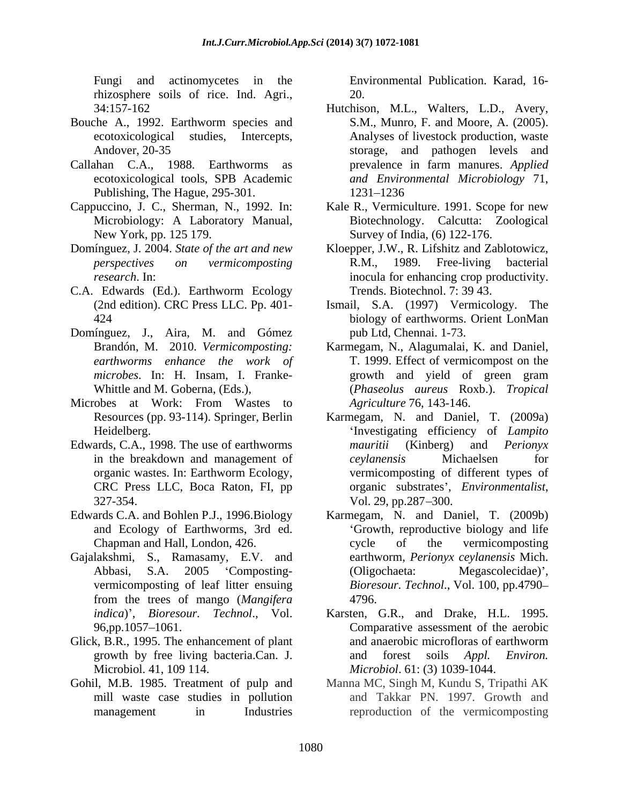Fungi and actinomycetes in the Environmental Publication. Karad,16 rhizosphere soils of rice. Ind. Agri.,

- Bouche A., 1992. Earthworm species and
- Publishing, The Hague, 295-301.
- 
- 
- C.A. Edwards (Ed.). Earthworm Ecology
- Domínguez, J., Aira, M. and Gómez
- Microbes at Work: From Wastes to
- Edwards, C.A., 1998. The use of earthworms *mauritii* (Kinberg) and *Perionyx* 327-354. Vol. 29, pp.287-300.
- 
- Gajalakshmi, S., Ramasamy, E.V. and from the trees of mango (*Mangifera*
- 
- Gohil, M.B. 1985. Treatment of pulp and

20.

- 34:157-162 Hutchison, M.L., Walters, L.D., Avery, ecotoxicological studies, Intercepts, Analyses of livestock production, waste Andover, 20-35 storage, and pathogen levels and Callahan C.A., 1988. Earthworms as prevalence in farm manures. Applied ecotoxicological tools, SPB Academic *and Environmental Microbiology* 71, S.M., Munro, F. and Moore, A.(2005). prevalence in farm manures. *Applied*  1231 1236
- Cappuccino, J. C., Sherman, N., 1992. In: Kale R., Vermiculture. 1991. Scope for new Microbiology: A Laboratory Manual, Biotechnology. Calcutta: Zoological New York, pp. 125 179. Survey of India, (6) 122-176.
- Domínguez, J. 2004. *State of the art and new* Kloepper, J.W., R. Lifshitz and Zablotowicz, *perspectives on vermicomposting research*. In: inocula for enhancing crop productivity. R.M., 1989. Free-living bacterial Trends. Biotechnol. 7: 39 43.
	- (2nd edition). CRC Press LLC. Pp. 401- Ismail, S.A. (1997) Vermicology. The 424 biology of earthworms. Orient LonMan pub Ltd, Chennai. 1-73.
	- Brandón, M. 2010. *Vermicomposting:* Karmegam, N., Alagumalai, K. and Daniel, *earthworms enhance the work of* T. 1999. Effect of vermicompost on the *microbes*. In: H. Insam, I. Franke- Whittle and M. Goberna, (Eds.), (*Phaseolus aureus* Roxb.). *Tropical*  growth and yield of green gram *Agriculture* 76, 143-146.
	- Resources (pp. 93-114). Springer, Berlin Karmegam, N. and Daniel, T. (2009a) Heidelberg. Investigating efficiency of *Lampito*  in the breakdown and management of *cevlanensis* Michaelsen for organic wastes. In: Earthworm Ecology, vermicomposting of different types of CRC Press LLC, Boca Raton, FI, pp *mauritii* (Kinberg) and *Perionyx ceylanensis* Michaelsen for organic substrates , *Environmentalist*, Vol. 29, pp.287 300.
- Edwards C.A. and Bohlen P.J., 1996.Biology Karmegam, N. and Daniel, T. (2009b) and Ecology of Earthworms, 3rd ed. <br>
Growth, reproductive biology and life Chapman and Hall, London, 426. Abbasi, S.A. 2005 'Composting- (Oligochaeta: Megascolecidae)', vermicomposting of leaf litter ensuing *Bioresour. Technol*., Vol. 100, pp.4790 cycle of the vermicomposting earthworm, *Perionyx ceylanensis* Mich. (Oligochaeta: Megascolecidae)', 4796.
- *indica*) , *Bioresour. Technol*., Vol. Karsten, G.R., and Drake, H.L. 1995. 96,pp.1057 1061. Comparative assessment of the aerobic Glick, B.R., 1995. The enhancement of plant and anaerobic microfloras of earthworm growth by free living bacteria.Can. J. and forest soils *Appl. Environ.* Microbiol. 41, 109 114. *Microbiol*. 61: (3) 1039-1044. and anaerobic microfloras of earthworm and forest soils *Appl. Environ.*
	- mill waste case studies in pollution and Takkar PN. 1997. Growth and management in Industries reproduction of the vermicomposting Manna MC, Singh M, Kundu S, Tripathi AK